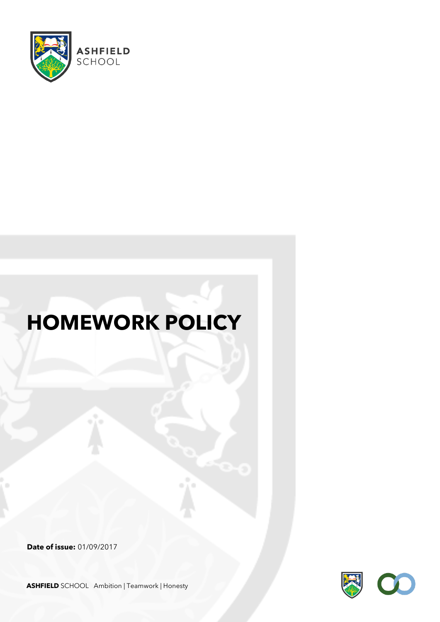

# **HOMEWORK POLICY**

**Date of issue:** 01/09/2017



**ASHFIELD** SCHOOL Ambition | Teamwork | Honesty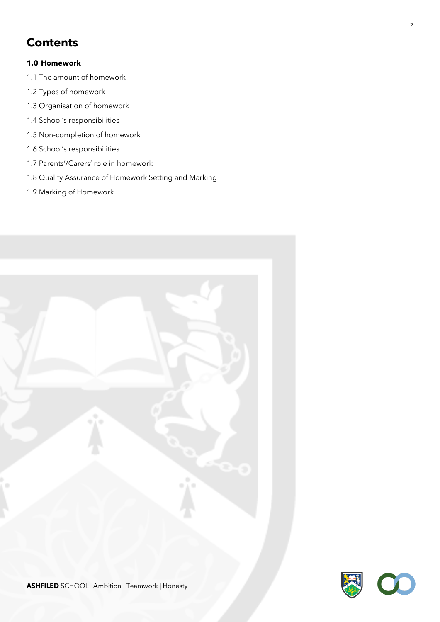## **Contents**

#### **1.0 Homework**

- 1.1 The amount of homework
- 1.2 Types of homework
- 1.3 Organisation of homework
- 1.4 School's responsibilities
- 1.5 Non-completion of homework
- 1.6 School's responsibilities
- 1.7 Parents'/Carers' role in homework
- 1.8 Quality Assurance of Homework Setting and Marking
- 1.9 Marking of Homework

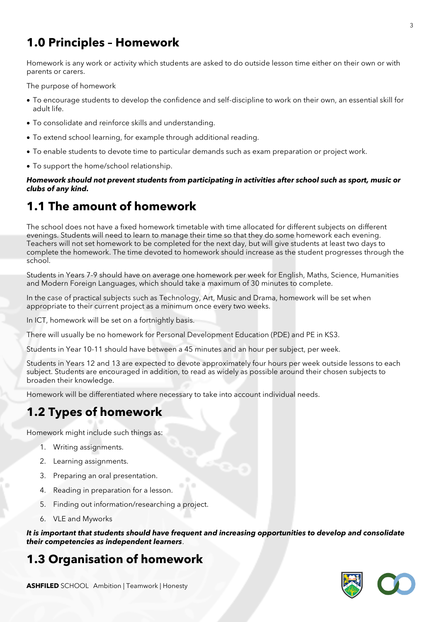# **1.0 Principles – Homework**

Homework is any work or activity which students are asked to do outside lesson time either on their own or with parents or carers.

The purpose of homework

- To encourage students to develop the confidence and self-discipline to work on their own, an essential skill for adult life.
- To consolidate and reinforce skills and understanding.
- To extend school learning, for example through additional reading.
- To enable students to devote time to particular demands such as exam preparation or project work.
- To support the home/school relationship.

*Homework should not prevent students from participating in activities after school such as sport, music or clubs of any kind.*

### **1.1 The amount of homework**

The school does not have a fixed homework timetable with time allocated for different subjects on different evenings. Students will need to learn to manage their time so that they do some homework each evening. Teachers will not set homework to be completed for the next day, but will give students at least two days to complete the homework. The time devoted to homework should increase as the student progresses through the school.

Students in Years 7-9 should have on average one homework per week for English, Maths, Science, Humanities and Modern Foreign Languages, which should take a maximum of 30 minutes to complete.

In the case of practical subjects such as Technology, Art, Music and Drama, homework will be set when appropriate to their current project as a minimum once every two weeks.

In ICT, homework will be set on a fortnightly basis.

There will usually be no homework for Personal Development Education (PDE) and PE in KS3.

Students in Year 10-11 should have between a 45 minutes and an hour per subject, per week.

Students in Years 12 and 13 are expected to devote approximately four hours per week outside lessons to each subject. Students are encouraged in addition, to read as widely as possible around their chosen subjects to broaden their knowledge.

Homework will be differentiated where necessary to take into account individual needs.

#### **1.2 Types of homework**

Homework might include such things as:

- 1. Writing assignments.
- 2. Learning assignments.
- 3. Preparing an oral presentation.
- 4. Reading in preparation for a lesson.
- 5. Finding out information/researching a project.
- 6. VLE and Myworks

*It is important that students should have frequent and increasing opportunities to develop and consolidate their competencies as independent learners*.

#### **1.3 Organisation of homework**

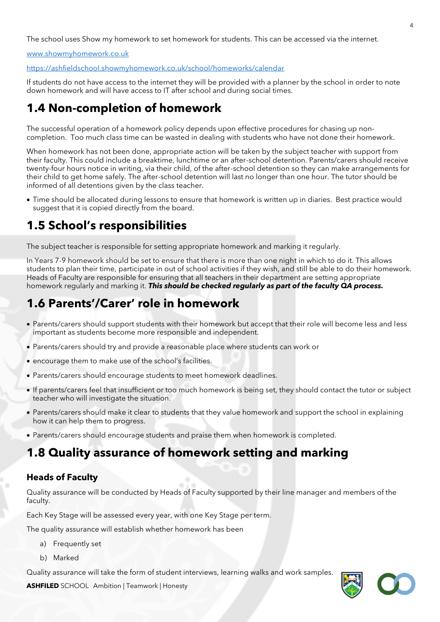The school uses Show my homework to set homework for students. This can be accessed via the internet.

[www.showmyhomework.co.uk](http://www.showmyhomework.co.uk/)

<https://ashfieldschool.showmyhomework.co.uk/school/homeworks/calendar>

If students do not have access to the internet they will be provided with a planner by the school in order to note down homework and will have access to IT after school and during social times.

### **1.4 Non-completion of homework**

The successful operation of a homework policy depends upon effective procedures for chasing up noncompletion. Too much class time can be wasted in dealing with students who have not done their homework.

When homework has not been done, appropriate action will be taken by the subject teacher with support from their faculty. This could include a breaktime, lunchtime or an after-school detention. Parents/carers should receive twenty-four hours notice in writing, via their child, of the after-school detention so they can make arrangements for their child to get home safely. The after-school detention will last no longer than one hour. The tutor should be informed of all detentions given by the class teacher.

• Time should be allocated during lessons to ensure that homework is written up in diaries. Best practice would suggest that it is copied directly from the board.

## **1.5 School's responsibilities**

The subject teacher is responsible for setting appropriate homework and marking it regularly.

In Years 7-9 homework should be set to ensure that there is more than one night in which to do it. This allows students to plan their time, participate in out of school activities if they wish, and still be able to do their homework. Heads of Faculty are responsible for ensuring that all teachers in their department are setting appropriate homework regularly and marking it. *This should be checked regularly as part of the faculty QA process.*

## **1.6 Parents'/Carer' role in homework**

- Parents/carers should support students with their homework but accept that their role will become less and less important as students become more responsible and independent.
- Parents/carers should try and provide a reasonable place where students can work or
- encourage them to make use of the school's facilities.
- Parents/carers should encourage students to meet homework deadlines.
- If parents/carers feel that insufficient or too much homework is being set, they should contact the tutor or subject teacher who will investigate the situation.
- Parents/carers should make it clear to students that they value homework and support the school in explaining how it can help them to progress.
- Parents/carers should encourage students and praise them when homework is completed.

#### **1.8 Quality assurance of homework setting and marking**

#### **Heads of Faculty**

Quality assurance will be conducted by Heads of Faculty supported by their line manager and members of the faculty.

Each Key Stage will be assessed every year, with one Key Stage per term.

The quality assurance will establish whether homework has been

- a) Frequently set
- b) Marked

Quality assurance will take the form of student interviews, learning walks and work samples.

**ASHFILED** SCHOOL Ambition | Teamwork | Honesty